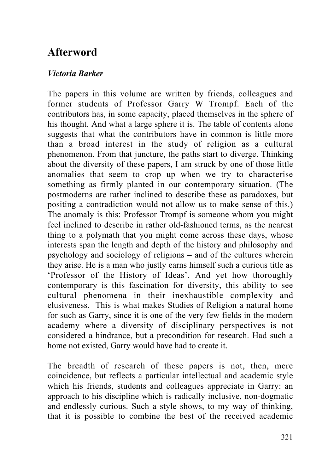## **Afterword**

## *Victoria Barker*

The papers in this volume are written by friends, colleagues and former students of Professor Garry W Trompf. Each of the contributors has, in some capacity, placed themselves in the sphere of his thought. And what a large sphere it is. The table of contents alone suggests that what the contributors have in common is little more than a broad interest in the study of religion as a cultural phenomenon. From that juncture, the paths start to diverge. Thinking about the diversity of these papers, I am struck by one of those little anomalies that seem to crop up when we try to characterise something as firmly planted in our contemporary situation. (The postmoderns are rather inclined to describe these as paradoxes, but positing a contradiction would not allow us to make sense of this.) The anomaly is this: Professor Trompf is someone whom you might feel inclined to describe in rather old-fashioned terms, as the nearest thing to a polymath that you might come across these days, whose interests span the length and depth of the history and philosophy and psychology and sociology of religions – and of the cultures wherein they arise. He is a man who justly earns himself such a curious title as 'Professor of the History of Ideas'. And yet how thoroughly contemporary is this fascination for diversity, this ability to see cultural phenomena in their inexhaustible complexity and elusiveness. This is what makes Studies of Religion a natural home for such as Garry, since it is one of the very few fields in the modern academy where a diversity of disciplinary perspectives is not considered a hindrance, but a precondition for research. Had such a home not existed, Garry would have had to create it.

The breadth of research of these papers is not, then, mere coincidence, but reflects a particular intellectual and academic style which his friends, students and colleagues appreciate in Garry: an approach to his discipline which is radically inclusive, non-dogmatic and endlessly curious. Such a style shows, to my way of thinking, that it is possible to combine the best of the received academic